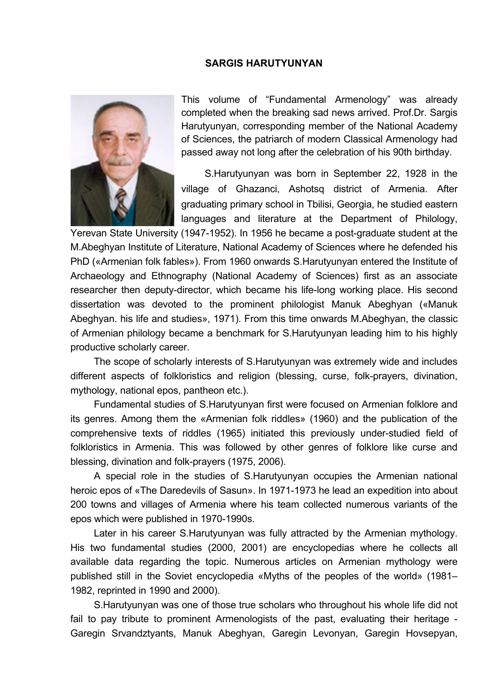## **SARGIS HARUTYUNYAN**



This volume of "Fundamental Armenology" was already completed when the breaking sad news arrived. Prof.Dr. Sargis Harutyunyan, corresponding member of the National Academy of Sciences, the patriarch of modern Classical Armenology had passed away not long after the celebration of his 90th birthday.

S.Harutyunyan was born in September 22, 1928 in the village of Ghazanci, Ashotsq district of Armenia. After graduating primary school in Tbilisi, Georgia, he studied eastern languages and literature at the Department of Philology,

Yerevan State University (1947-1952). In 1956 he became a post-graduate student at the M.Abeghyan Institute of Literature, National Academy of Sciences where he defended his PhD («Armenian folk fables»). From 1960 onwards S.Harutyunyan entered the Institute of Archaeology and Ethnography (National Academy of Sciences) first as an associate researcher then deputy-director, which became his life-long working place. His second dissertation was devoted to the prominent philologist Manuk Abeghyan («Manuk Abeghyan. his life and studies», 1971). From this time onwards M.Abeghyan, the classic of Armenian philology became a benchmark for S.Harutyunyan leading him to his highly productive scholarly career.

The scope of scholarly interests of S.Harutyunyan was extremely wide and includes different aspects of folkloristics and religion (blessing, curse, folk-prayers, divination, mythology, national epos, pantheon etc.).

Fundamental studies of S.Harutyunyan first were focused on Armenian folklore and its genres. Among them the «Armenian folk riddles» (1960) and the publication of the comprehensive texts of riddles (1965) initiated this previously under-studied field of folkloristics in Armenia. This was followed by other genres of folklore like curse and blessing, divination and folk-prayers (1975, 2006).

A special role in the studies of S.Harutyunyan occupies the Armenian national heroic epos of «The Daredevils of Sasun». In 1971-1973 he lead an expedition into about 200 towns and villages of Armenia where his team collected numerous variants of the epos which were published in 1970-1990s.

Later in his career S.Harutyunyan was fully attracted by the Armenian mythology. His two fundamental studies (2000, 2001) are encyclopedias where he collects all available data regarding the topic. Numerous articles on Armenian mythology were published still in the Soviet encyclopedia «Myths of the peoples of the world» (1981– 1982, reprinted in 1990 and 2000).

S.Harutyunyan was one of those true scholars who throughout his whole life did not fail to pay tribute to prominent Armenologists of the past, evaluating their heritage - Garegin Srvandztyants, Manuk Abeghyan, Garegin Levonyan, Garegin Hovsepyan,